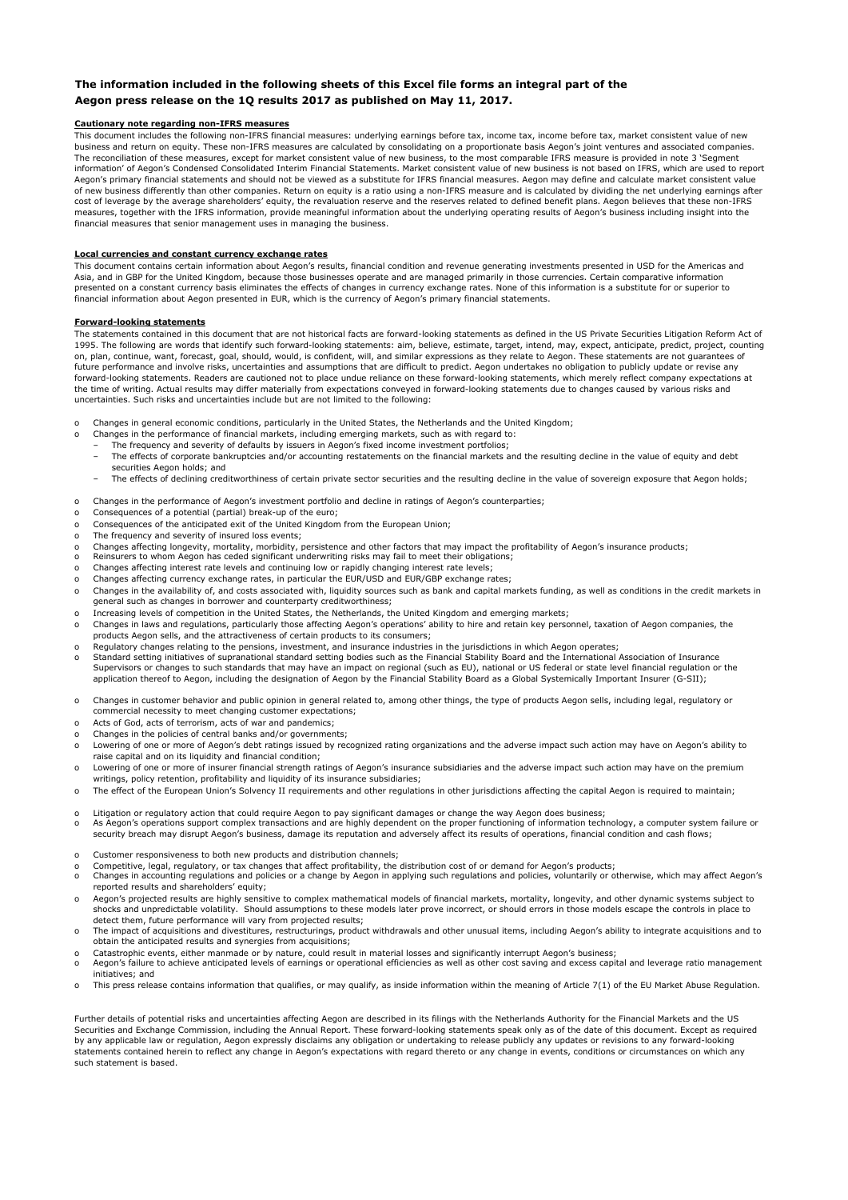## **The information included in the following sheets of this Excel file forms an integral part of the Aegon press release on the 1Q results 2017 as published on May 11, 2017.**

## **Cautionary note regarding non-IFRS measures**

This document includes the following non-IFRS financial measures: underlying earnings before tax, income tax, income before tax, market consistent value of new business and return on equity. These non-IFRS measures are calculated by consolidating on a proportionate basis Aegon's joint ventures and associated companies. The reconciliation of these measures, except for market consistent value of new business, to the most comparable IFRS measure is provided in note 3 'Segment information' of Aegon's Condensed Consolidated Interim Financial Statements. Market consistent value of new business is not based on IFRS, which are used to report Aegon's primary financial statements and should not be viewed as a substitute for IFRS financial measures. Aegon may define and calculate market consistent value of new business differently than other companies. Return on equity is a ratio using a non-IFRS measure and is calculated by dividing the net underlying earnings after cost of leverage by the average shareholders' equity, the revaluation reserve and the reserves related to defined benefit plans. Aegon believes that these non-IFRS<br>measures, together with the IFRS information, provide mean financial measures that senior management uses in managing the business.

### **Local currencies and constant currency exchange rates**

This document contains certain information about Aegon's results, financial condition and revenue generating investments presented in USD for the Americas and Asia, and in GBP for the United Kingdom, because those businesses operate and are managed primarily in those currencies. Certain comparative information presented on a constant currency basis eliminates the effects of changes in currency exchange rates. None of this information is a substitute for or superior to financial information about Aegon presented in EUR, which is the currency of Aegon's primary financial statements.

#### **Forward-looking statements**

The statements contained in this document that are not historical facts are forward-looking statements as defined in the US Private Securities Litigation Reform Act of 1995. The following are words that identify such forward-looking statements: aim, believe, estimate, target, intend, may, expect, anticipate, predict, project, counting<br>on, plan, continue, want, forecast, goal, should, io future performance and involve risks, uncertainties and assumptions that are difficult to predict. Aegon undertakes no obligation to publicly update or revise any forward-looking statements. Readers are cautioned not to place undue reliance on these forward-looking statements, which merely reflect company expectations at the time of writing. Actual results may differ materially from expectations conveyed in forward-looking statements due to changes caused by various risks and uncertainties. Such risks and uncertainties include but are not limited to the following:

- Changes in general economic conditions, particularly in the United States, the Netherlands and the United Kingdom;
- 
- o Changes in the performance of financial markets, including emerging markets, such as with regard to: The frequency and severity of defaults by issuers in Aegon's fixed income investment portfolios;
	- The effects of corporate bankruptcies and/or accounting restatements on the financial markets and the resulting decline in the value of equity and debt securities Aegon holds; and
	- The effects of declining creditworthiness of certain private sector securities and the resulting decline in the value of sovereign exposure that Aegon holds;
- o Changes in the performance of Aegon's investment portfolio and decline in ratings of Aegon's counterparties;
- o Consequences of a potential (partial) break-up of the euro;
- Consequences of the anticipated exit of the United Kingdom from the European Union;
- The frequency and severity of insured loss events;
- o o Changes affecting longevity, mortality, morbidity, persistence and other factors that may impact the profitability of Aegon's insurance products;<br>o Reinsurers to whom Aegon has ceded significant underwriting risks may fa
- 
- Changes affecting interest rate levels and continuing low or rapidly changing interest rate levels; Changes affecting currency exchange rates, in particular the EUR/USD and EUR/GBP exchange rates;
- o Changes in the availability of, and costs associated with, liquidity sources such as bank and capital markets funding, as well as conditions in the credit markets in general such as changes in borrower and counterparty creditworthiness;
- Increasing levels of competition in the United States, the Netherlands, the United Kingdom and emerging markets;
- o Changes in laws and regulations, particularly those affecting Aegon's operations' ability to hire and retain key personnel, taxation of Aegon companies, the products Aegon sells, and the attractiveness of certain products to its consumers;
- o Regulatory changes relating to the pensions, investment, and insurance industries in the jurisdictions in which Aegon operates;
- o Standard setting initiatives of supranational standard setting bodies such as the Financial Stability Board and the International Association of Insurance Supervisors or changes to such standards that may have an impact on regional (such as EU), national or US federal or state level financial regulation or the application thereof to Aegon, including the designation of Aegon by the Financial Stability Board as a Global Systemically Important Insurer (G-SII);
- o Changes in customer behavior and public opinion in general related to, among other things, the type of products Aegon sells, including legal, regulatory or commercial necessity to meet changing customer expectations;
- o Acts of God, acts of terrorism, acts of war and pandemics;
- Changes in the policies of central banks and/or governments;
- o Lowering of one or more of Aegon's debt ratings issued by recognized rating organizations and the adverse impact such action may have on Aegon's ability to raise capital and on its liquidity and financial condition;
- o Lowering of one or more of insurer financial strength ratings of Aegon's insurance subsidiaries and the adverse impact such action may have on the premium writings, policy retention, profitability and liquidity of its insurance subsidiaries;
- o The effect of the European Union's Solvency II requirements and other regulations in other jurisdictions affecting the capital Aegon is required to maintain;
- o Litigation or regulatory action that could require Aegon to pay significant damages or change the way Aegon does business;
- o As Aegon's operations support complex transactions and are highly dependent on the proper functioning of information technology, a computer system failure or security breach may disrupt Aegon's business, damage its reputation and adversely affect its results of operations, financial condition and cash flows;
- 
- o
- o Customer responsiveness to both new products and distribution channels;<br>o Competitive, legal, regulatory, or tax changes that affect profitability, the distribution cost of or demand for Aegon's products;<br>o Changes in ac o reported results and shareholders' equity;
- o Aegon's projected results are highly sensitive to complex mathematical models of financial markets, mortality, longevity, and other dynamic systems subject to<br>shocks and unpredictable volatility. Should assumptions to the detect them, future performance will vary from projected results;
- o The impact of acquisitions and divestitures, restructurings, product withdrawals and other unusual items, including Aegon's ability to integrate acquisitions and to obtain the anticipated results and synergies from acquisitions;
- o Catastrophic events, either manmade or by nature, could result in material losses and significantly interrupt Aegon's business;
- o Aegon's failure to achieve anticipated levels of earnings or operational efficiencies as well as other cost saving and excess capital and leverage ratio management initiatives; and
- o This press release contains information that qualifies, or may qualify, as inside information within the meaning of Article 7(1) of the EU Market Abuse Regulation.

Further details of potential risks and uncertainties affecting Aegon are described in its filings with the Netherlands Authority for the Financial Markets and the US Securities and Exchange Commission, including the Annual Report. These forward-looking statements speak only as of the date of this document. Except as required by any applicable law or regulation, Aegon expressly disclaims any obligation or undertaking to release publicly any updates or revisions to any forward-looking statements contained herein to reflect any change in Aegon's expectations with regard thereto or any change in events, conditions or circumstances on which any such statement is based.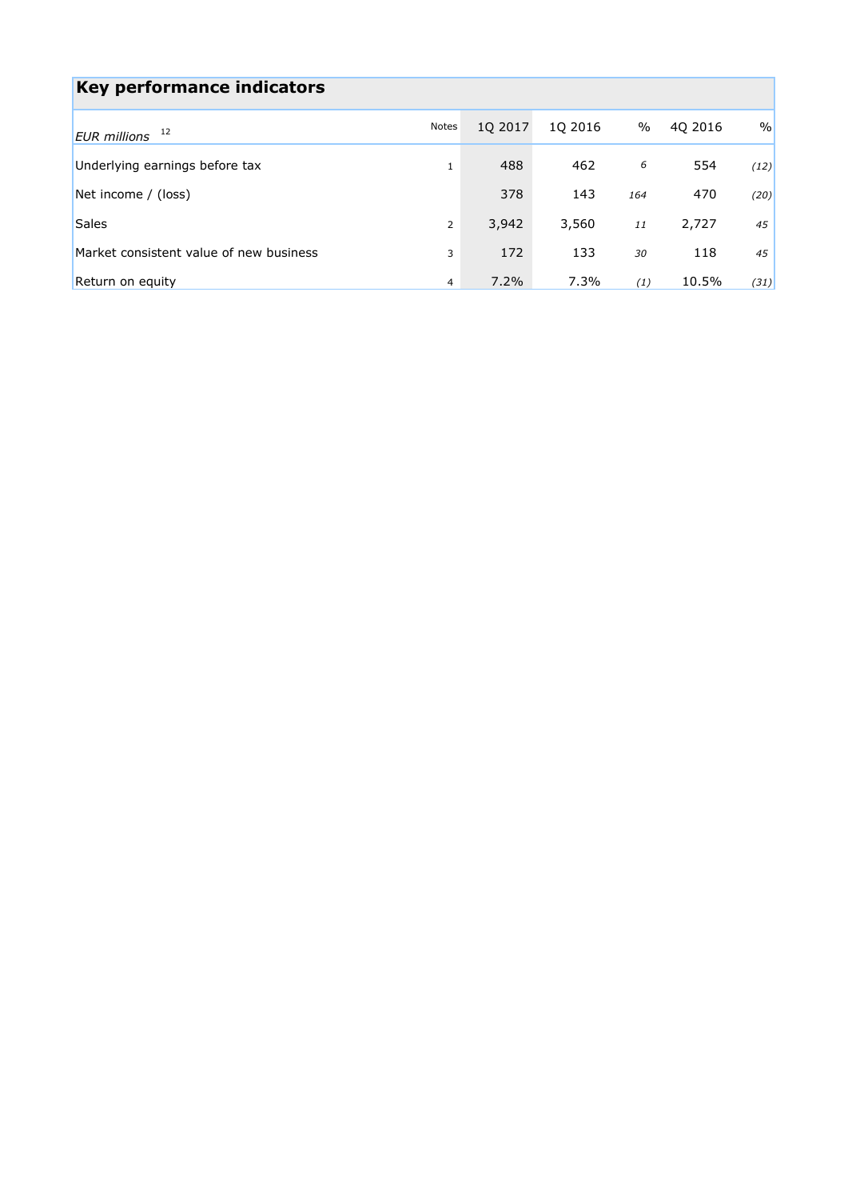| Key performance indicators              |                |         |         |      |         |      |
|-----------------------------------------|----------------|---------|---------|------|---------|------|
| 12<br><b>EUR</b> millions               | Notes          | 10 2017 | 10 2016 | $\%$ | 40 2016 | $\%$ |
| Underlying earnings before tax          | 1              | 488     | 462     | 6    | 554     | (12) |
| Net income / (loss)                     |                | 378     | 143     | 164  | 470     | (20) |
| <b>Sales</b>                            | $\overline{2}$ | 3,942   | 3,560   | 11   | 2,727   | 45   |
| Market consistent value of new business | 3              | 172     | 133     | 30   | 118     | 45   |
| Return on equity                        | 4              | 7.2%    | 7.3%    | (1)  | 10.5%   | (31) |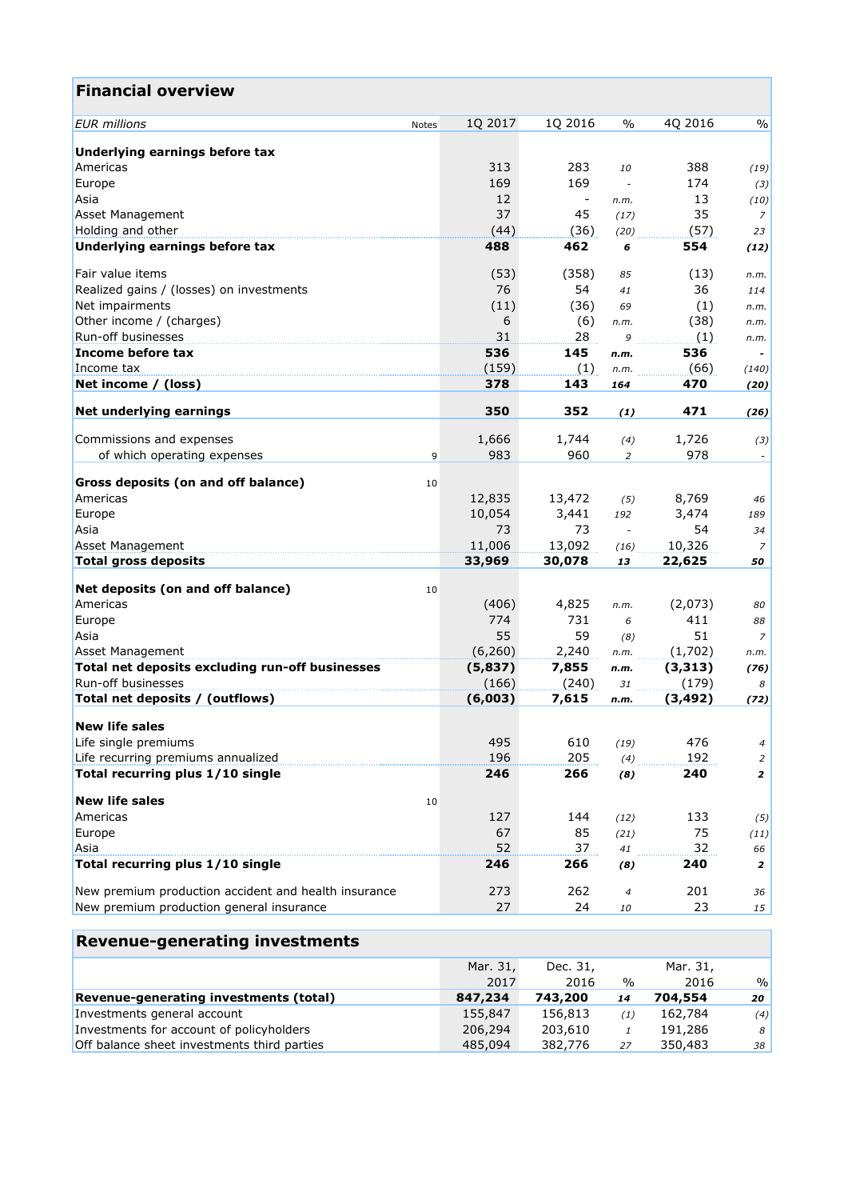| <b>Financial overview</b>                            |          |                          |                  |          |                |
|------------------------------------------------------|----------|--------------------------|------------------|----------|----------------|
| <b>EUR</b> millions<br>Notes                         | 1Q 2017  | 1Q 2016                  | $\frac{0}{0}$    | 4Q 2016  | $\%$           |
| Underlying earnings before tax                       |          |                          |                  |          |                |
| Americas                                             | 313      | 283                      | 10               | 388      | (19)           |
| Europe                                               | 169      | 169                      | $\overline{a}$   | 174      | (3)            |
| Asia                                                 | 12       | $\overline{\phantom{a}}$ | n.m.             | 13       | (10)           |
| <b>Asset Management</b>                              | 37       | 45                       | (17)             | 35       | $\overline{z}$ |
| Holding and other                                    | (44)     | (36)                     | (20)             | (57)     | 23             |
| Underlying earnings before tax                       | 488      | 462                      | 6                | 554      | (12)           |
| Fair value items                                     | (53)     | (358)                    | 85               | (13)     | n.m.           |
| Realized gains / (losses) on investments             | 76       | 54                       | 41               | 36       | 114            |
| Net impairments                                      | (11)     | (36)                     | 69               | (1)      | n.m.           |
| Other income / (charges)                             | 6        | (6)                      | n.m.             | (38)     | n.m.           |
| Run-off businesses                                   | 31       | 28                       | 9                | (1)      | n.m.           |
| Income before tax                                    | 536      | 145                      | n.m.             | 536      |                |
| Income tax                                           | (159)    | (1)                      | n.m.             | (66)     | (140)          |
| Net income / (loss)                                  | 378      | 143                      | 164              | 470      | (20)           |
| Net underlying earnings                              | 350      | 352                      | (1)              | 471      | (26)           |
| Commissions and expenses                             | 1,666    | 1,744                    | (4)              | 1,726    | (3)            |
| of which operating expenses<br>9                     | 983      | 960                      | 2                | 978      |                |
|                                                      |          |                          |                  |          |                |
| Gross deposits (on and off balance)<br>10            |          |                          |                  |          |                |
| Americas                                             | 12,835   | 13,472                   | (5)              | 8,769    | 46             |
| Europe                                               | 10,054   | 3,441                    | 192              | 3,474    | 189            |
| Asia                                                 | 73       | 73                       | $\omega$         | 54       | 34             |
| <b>Asset Management</b>                              | 11,006   | 13,092                   | (16)             | 10,326   | $\overline{z}$ |
| <b>Total gross deposits</b>                          | 33,969   | 30,078                   | 13               | 22,625   | 50             |
| Net deposits (on and off balance)<br>10              |          |                          |                  |          |                |
| Americas                                             | (406)    | 4,825                    | n.m.             | (2,073)  | 80             |
| Europe                                               | 774      | 731                      | 6                | 411      | 88             |
| Asia                                                 | 55       | 59                       | (8)              | 51       | $\overline{z}$ |
| Asset Management                                     | (6,260)  | 2,240                    | n.m.             | (1,702)  | n.m.           |
| Total net deposits excluding run-off businesses      | (5,837)  | 7,855                    | n.m.             | (3, 313) | (76)           |
| Run-off businesses                                   | (166)    | (240)                    | 31               | (179)    | 8              |
| Total net deposits / (outflows)                      | (6,003)  | 7,615                    | n.m.             | (3, 492) | (72)           |
| <b>New life sales</b>                                |          |                          |                  |          |                |
| Life single premiums                                 | 495      | 610                      | (19)             | 476      | $\overline{4}$ |
| Life recurring premiums annualized                   | 196      | 205                      | (4)              | 192      | $\overline{2}$ |
| Total recurring plus 1/10 single                     | 246      | 266                      | (8)              | 240      | $\mathbf{z}$   |
| <b>New life sales</b><br>10                          |          |                          |                  |          |                |
| Americas                                             | 127      | 144                      | (12)             | 133      | (5)            |
| Europe                                               | 67       | 85                       | (21)             | 75       | (11)           |
| Asia                                                 | 52       | 37                       | 41               | 32       | 66             |
| Total recurring plus 1/10 single                     | 246      | 266                      | (8)              | 240      | 2              |
| New premium production accident and health insurance | 273      | 262                      | $\boldsymbol{4}$ | 201      | 36             |
| New premium production general insurance             | 27       | 24                       | 10               | 23       | 15             |
| <b>Revenue-generating investments</b>                |          |                          |                  |          |                |
|                                                      | Mar. 31, | Dec. 31,                 |                  | Mar. 31, |                |
|                                                      |          |                          |                  |          |                |

|                                             | Mar. 31, | Dec. 31. |               | Mar. 31, |               |
|---------------------------------------------|----------|----------|---------------|----------|---------------|
|                                             | 2017     | 2016     | $\frac{0}{0}$ | 2016     | $\frac{0}{0}$ |
| Revenue-generating investments (total)      | 847,234  | 743,200  | 14            | 704,554  | 20            |
| Investments general account                 | 155,847  | 156,813  | (1)           | 162,784  | (4)           |
| Investments for account of policyholders    | 206,294  | 203,610  |               | 191,286  | 8             |
| Off balance sheet investments third parties | 485,094  | 382,776  | 27            | 350,483  | 38            |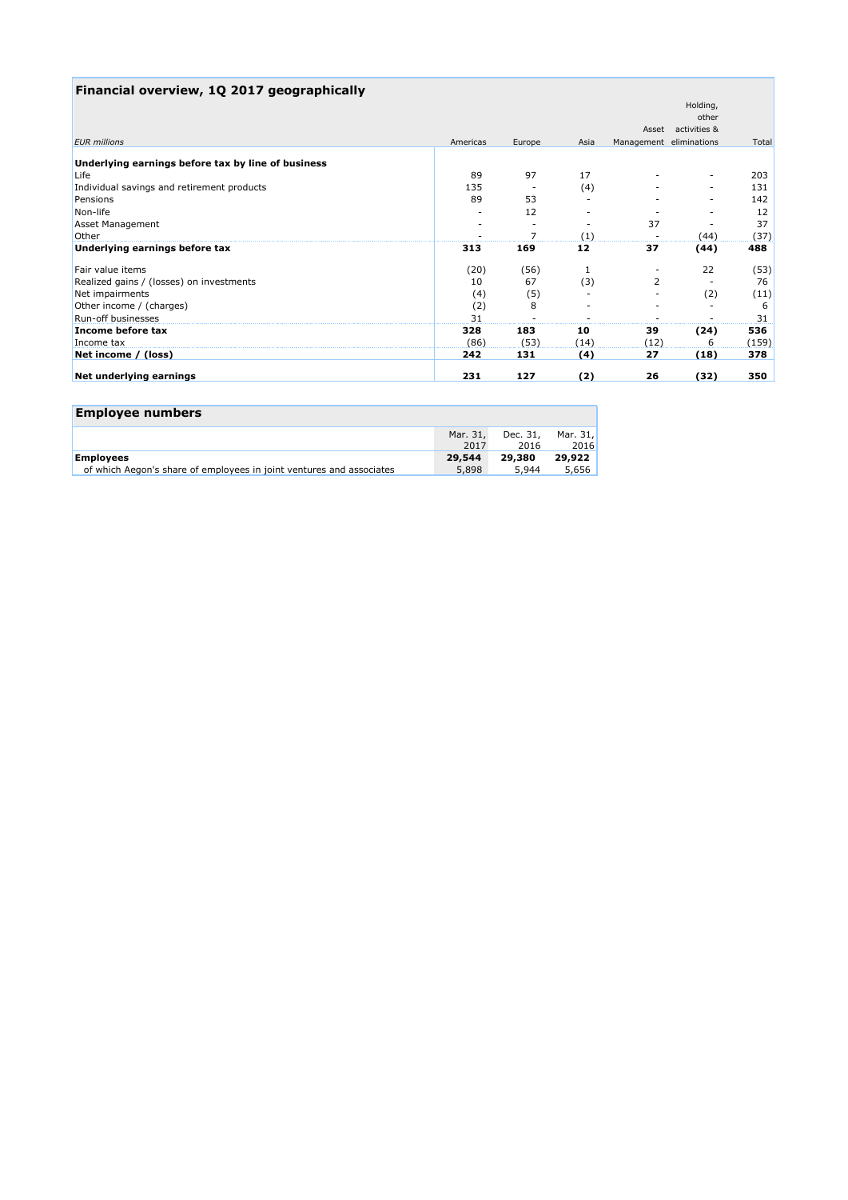| Financial overview, 1Q 2017 geographically         |          |                |      |                         |                    |       |
|----------------------------------------------------|----------|----------------|------|-------------------------|--------------------|-------|
|                                                    |          |                |      |                         | Holding,           |       |
|                                                    |          |                |      |                         | other              |       |
|                                                    |          |                |      |                         | Asset activities & |       |
| <b>EUR</b> millions                                | Americas | Europe         | Asia | Management eliminations |                    | Total |
| Underlying earnings before tax by line of business |          |                |      |                         |                    |       |
| Life                                               | 89       | 97             | 17   |                         |                    | 203   |
| Individual savings and retirement products         | 135      |                | (4)  |                         |                    | 131   |
| Pensions                                           | 89       | 53             |      |                         |                    | 142   |
| Non-life                                           |          | 12             |      |                         |                    | 12    |
| <b>Asset Management</b>                            |          |                |      | 37                      |                    | 37    |
| Other                                              |          | $\overline{ }$ | (1)  |                         | (44)               | (37)  |
| Underlying earnings before tax                     | 313      | 169            | 12   | 37                      | (44)               | 488   |
| Fair value items                                   | (20)     | (56)           |      |                         | 22                 | (53)  |
| Realized gains / (losses) on investments           | 10       | 67             | (3)  | 2                       |                    | 76    |
| Net impairments                                    | (4)      | (5)            |      |                         | (2)                | (11)  |
| Other income / (charges)                           | (2)      | 8              |      |                         |                    | 6     |
| <b>Run-off businesses</b>                          | 31       |                |      |                         |                    | 31    |
| Income before tax                                  | 328      | 183            | 10   | 39                      | (24)               | 536   |
| Income tax                                         | (86)     | (53)           | (14) | (12)                    | 6                  | (159) |
| Net income / (loss)                                | 242      | 131            | (4)  | 27                      | (18)               | 378   |
| Net underlying earnings                            | 231      | 127            | (2)  | 26                      | (32)               | 350   |

| <b>Employee numbers</b>                                              |          |          |          |
|----------------------------------------------------------------------|----------|----------|----------|
|                                                                      | Mar. 31, | Dec. 31, | Mar. 31. |
|                                                                      | 2017     | 2016     | 2016     |
| <b>Employees</b>                                                     | 29.544   | 29,380   | 29,922   |
| of which Aegon's share of employees in joint ventures and associates | 5,898    | 5,944    | 5,656    |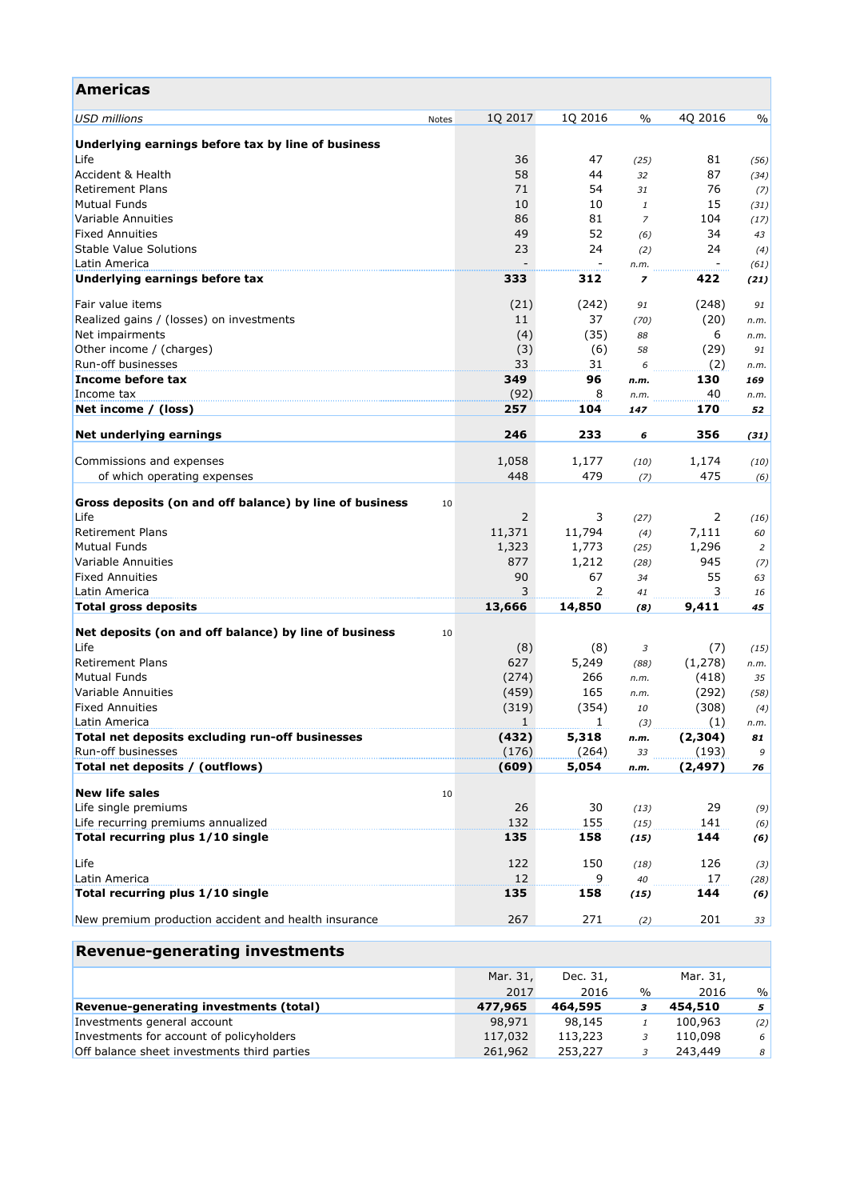| <b>Americas</b>                                         |       |              |              |                        |              |               |
|---------------------------------------------------------|-------|--------------|--------------|------------------------|--------------|---------------|
| <b>USD</b> millions                                     | Notes | 1Q 2017      | 1Q 2016      | $\%$                   | 4Q 2016      | $\frac{0}{0}$ |
| Underlying earnings before tax by line of business      |       |              |              |                        |              |               |
| Life                                                    |       | 36           | 47           | (25)                   | 81           | (56)          |
| Accident & Health                                       |       | 58           | 44           | 32                     | 87           | (34)          |
| <b>Retirement Plans</b>                                 |       | 71           | 54           | 31                     | 76           | (7)           |
| <b>Mutual Funds</b>                                     |       | 10           | 10           | $\mathbf{1}$           | 15           | (31)          |
| Variable Annuities                                      |       | 86           | 81           | $\overline{z}$         | 104          |               |
| <b>Fixed Annuities</b>                                  |       | 49           | 52           |                        | 34           | (17)          |
|                                                         |       |              |              | (6)                    |              | 43            |
| <b>Stable Value Solutions</b>                           |       | 23           | 24           | (2)                    | 24           | (4)           |
| Latin America<br>Underlying earnings before tax         |       | 333          | 312          | n.m.<br>$\overline{z}$ | 422          | (61)<br>(21)  |
|                                                         |       |              |              |                        |              |               |
| Fair value items                                        |       | (21)         | (242)        | 91                     | (248)        | 91            |
| Realized gains / (losses) on investments                |       | 11           | 37           | (70)                   | (20)         | n.m.          |
| Net impairments                                         |       | (4)          | (35)         | 88                     | 6            | n.m.          |
| Other income / (charges)                                |       | (3)          | (6)          | 58                     | (29)         | 91            |
| Run-off businesses                                      |       | 33           | 31           | 6                      | (2)          | n.m.          |
| Income before tax                                       |       | 349          | 96           | n.m.                   | 130          | 169           |
| Income tax                                              |       | (92)         | 8            | n.m.                   | 40           | n.m.          |
| Net income / (loss)                                     |       | 257          | 104          | 147                    | 170          | 52            |
| Net underlying earnings                                 |       | 246          | 233          | 6                      | 356          | (31)          |
|                                                         |       |              |              |                        |              |               |
| Commissions and expenses<br>of which operating expenses |       | 1,058<br>448 | 1,177<br>479 | (10)<br>(7)            | 1,174<br>475 | (10)          |
|                                                         |       |              |              |                        |              | (6)           |
| Gross deposits (on and off balance) by line of business | 10    |              |              |                        |              |               |
| Life                                                    |       | 2            | 3            | (27)                   | 2            | (16)          |
| <b>Retirement Plans</b>                                 |       | 11,371       | 11,794       | (4)                    | 7,111        | 60            |
| <b>Mutual Funds</b>                                     |       | 1,323        | 1,773        | (25)                   | 1,296        | 2             |
| Variable Annuities                                      |       | 877          | 1,212        | (28)                   | 945          | (7)           |
| <b>Fixed Annuities</b>                                  |       | 90           | 67           | 34                     | 55           | 63            |
| Latin America                                           |       | 3            | 2            | 41                     | 3            | 16            |
| <b>Total gross deposits</b>                             |       | 13,666       | 14,850       | (8)                    | 9,411        | 45            |
|                                                         |       |              |              |                        |              |               |
| Net deposits (on and off balance) by line of business   | 10    |              |              |                        |              |               |
| Life                                                    |       | (8)          | (8)          | 3                      | (7)          | (15)          |
| <b>Retirement Plans</b>                                 |       | 627          | 5,249        | (88)                   | (1,278)      | n.m.          |
| <b>Mutual Funds</b>                                     |       | (274)        | 266          | n.m.                   | (418)        | 35            |
| Variable Annuities                                      |       | (459)        | 165          | n.m.                   | (292)        | (58)          |
| <b>Fixed Annuities</b>                                  |       | (319)        | (354)        | 10                     | (308)        | (4)           |
| Latin America                                           |       | 1            | $\mathbf{1}$ | (3)                    | (1)          | n.m.          |
| Total net deposits excluding run-off businesses         |       | (432)        | 5,318        | n.m.                   | (2,304)      | 81            |
| Run-off businesses                                      |       | (176)        | (264)        | 33                     | (193)        | 9             |
| Total net deposits / (outflows)                         |       | (609)        | 5,054        | n.m.                   | (2, 497)     | 76            |
|                                                         |       |              |              |                        |              |               |
| <b>New life sales</b>                                   | 10    |              |              |                        |              |               |
| Life single premiums                                    |       | 26           | 30           | (13)                   | 29           | (9)           |
| Life recurring premiums annualized                      |       | 132          | 155          | (15)                   | 141          | (6)           |
| Total recurring plus 1/10 single                        |       | 135          | 158          | (15)                   | 144          | (6)           |
| Life                                                    |       | 122          | 150          | (18)                   | 126          | (3)           |
| Latin America                                           |       | 12           | 9            | 40                     | 17           | (28)          |
| Total recurring plus 1/10 single                        |       | 135          | 158          | (15)                   | 144          | (6)           |
| New premium production accident and health insurance    |       | 267          | 271          | (2)                    | 201          | 33            |
|                                                         |       |              |              |                        |              |               |
| <b>Revenue-generating investments</b>                   |       |              |              |                        |              |               |
|                                                         |       | Mar. 31,     | Dec. 31,     |                        | Mar. 31,     |               |

|                                             | Mar. 31, | Dec. 31, |      | Mar. 31, |               |
|---------------------------------------------|----------|----------|------|----------|---------------|
|                                             | 2017     | 2016     | $\%$ | 2016     | $\frac{0}{c}$ |
| Revenue-generating investments (total)      | 477,965  | 464,595  | з    | 454,510  | 5             |
| Investments general account                 | 98,971   | 98,145   |      | 100,963  | (2)           |
| Investments for account of policyholders    | 117,032  | 113,223  |      | 110,098  | 6             |
| Off balance sheet investments third parties | 261,962  | 253,227  |      | 243,449  | 8             |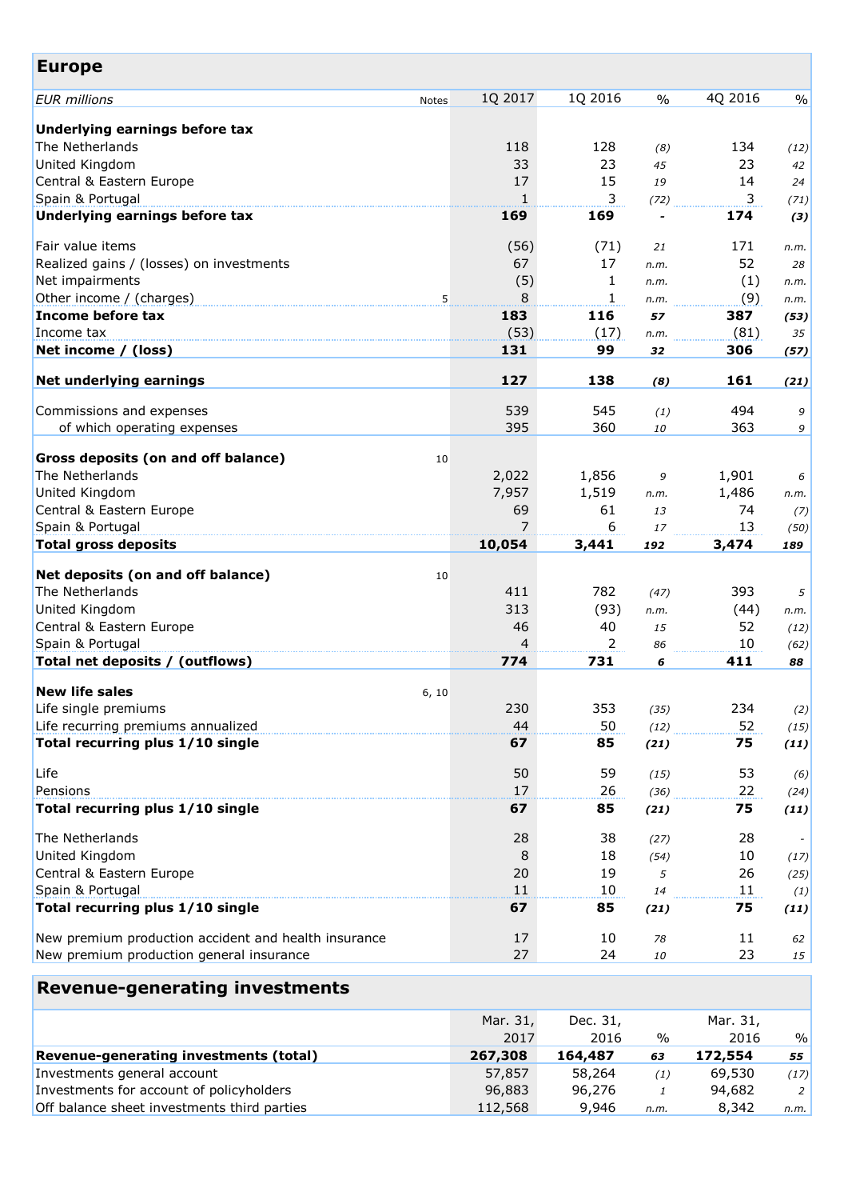| <b>Europe</b>                                        |         |              |               |         |               |
|------------------------------------------------------|---------|--------------|---------------|---------|---------------|
| <b>EUR</b> millions<br>Notes                         | 1Q 2017 | 1Q 2016      | $\frac{0}{0}$ | 4Q 2016 | $\frac{0}{0}$ |
| Underlying earnings before tax                       |         |              |               |         |               |
| The Netherlands                                      | 118     | 128          | (8)           | 134     | (12)          |
| United Kingdom                                       | 33      | 23           | 45            | 23      | 42            |
| Central & Eastern Europe                             | 17      | 15           | 19            | 14      | 24            |
| Spain & Portugal                                     | 1       | 3            | (72)          | 3       | (71)          |
| Underlying earnings before tax                       | 169     | 169          |               | 174     | (3)           |
| Fair value items                                     | (56)    | (71)         | 21            | 171     | n.m.          |
| Realized gains / (losses) on investments             | 67      | 17           | n.m.          | 52      | 28            |
| Net impairments                                      | (5)     | 1            | n.m.          | (1)     | n.m.          |
| Other income / (charges)<br>5                        | 8       | $\mathbf{1}$ | n.m.          | (9)     | n.m.          |
| Income before tax                                    | 183     | 116          | 57            | 387     | (53)          |
| Income tax                                           | (53)    | (17)         | n.m.          | (81)    | 35            |
| Net income / (loss)                                  | 131     | 99           | 32            | 306     | (57)          |
| Net underlying earnings                              | 127     | 138          | (8)           | 161     | (21)          |
| Commissions and expenses                             | 539     | 545          | (1)           | 494     | 9             |
| of which operating expenses                          | 395     | 360          | 10            | 363     | 9             |
| Gross deposits (on and off balance)<br>10            |         |              |               |         |               |
| The Netherlands                                      | 2,022   | 1,856        | 9             | 1,901   | 6             |
| United Kingdom                                       | 7,957   | 1,519        | n.m.          | 1,486   | n.m.          |
| Central & Eastern Europe                             | 69      | 61           | 13            | 74      | (7)           |
| Spain & Portugal                                     | 7       | 6            | 17            | 13      | (50)          |
| <b>Total gross deposits</b>                          | 10,054  | 3,441        | 192           | 3,474   | 189           |
| Net deposits (on and off balance)<br>10              |         |              |               |         |               |
| The Netherlands                                      | 411     | 782          | (47)          | 393     | 5             |
| United Kingdom                                       | 313     | (93)         | n.m.          | (44)    | n.m.          |
| Central & Eastern Europe                             | 46      | 40           | 15            | 52      | (12)          |
| Spain & Portugal                                     | 4       | 2            | 86            | 10      | (62)          |
| Total net deposits / (outflows)                      | 774     | 731          | 6             | 411     | 88            |
| <b>New life sales</b><br>6, 10                       |         |              |               |         |               |
| Life single premiums                                 | 230     | 353          | (35)          | 234     | (2)           |
| Life recurring premiums annualized                   | 44      | 50           | (12)          | 52      | (15)          |
| Total recurring plus 1/10 single                     | 67      | 85           | (21)          | 75      | (11)          |
| Life                                                 | 50      | 59           | (15)          | 53      | (6)           |
| Pensions                                             | 17      | 26           | (36)          | 22      | (24)          |
| Total recurring plus 1/10 single                     | 67      | 85           | (21)          | 75      | (11)          |
| The Netherlands                                      | 28      | 38           | (27)          | 28      |               |
| United Kingdom                                       | 8       | 18           | (54)          | 10      | (17)          |
| Central & Eastern Europe                             | 20      | 19           | 5             | 26      | (25)          |
| Spain & Portugal                                     | 11      | 10           | 14            | 11      | (1)           |
| Total recurring plus 1/10 single                     | 67      | 85           | (21)          | 75      | (11)          |
| New premium production accident and health insurance | 17      | 10           | 78            | 11      | 62            |
| New premium production general insurance             | 27      | 24           | 10            | 23      | 15            |
| <b>Revenue-generating investments</b>                |         |              |               |         |               |

|                                             | Mar. 31, | Dec. 31, |               | Mar. 31, |      |
|---------------------------------------------|----------|----------|---------------|----------|------|
|                                             | 2017     | 2016     | $\frac{0}{0}$ | 2016     | $\%$ |
| Revenue-generating investments (total)      | 267,308  | 164,487  | 63            | 172,554  | 55   |
| Investments general account                 | 57,857   | 58,264   | (1)           | 69,530   | (17) |
| Investments for account of policyholders    | 96,883   | 96,276   |               | 94,682   | 2    |
| Off balance sheet investments third parties | 112,568  | 9,946    | n.m.          | 8,342    | n.m. |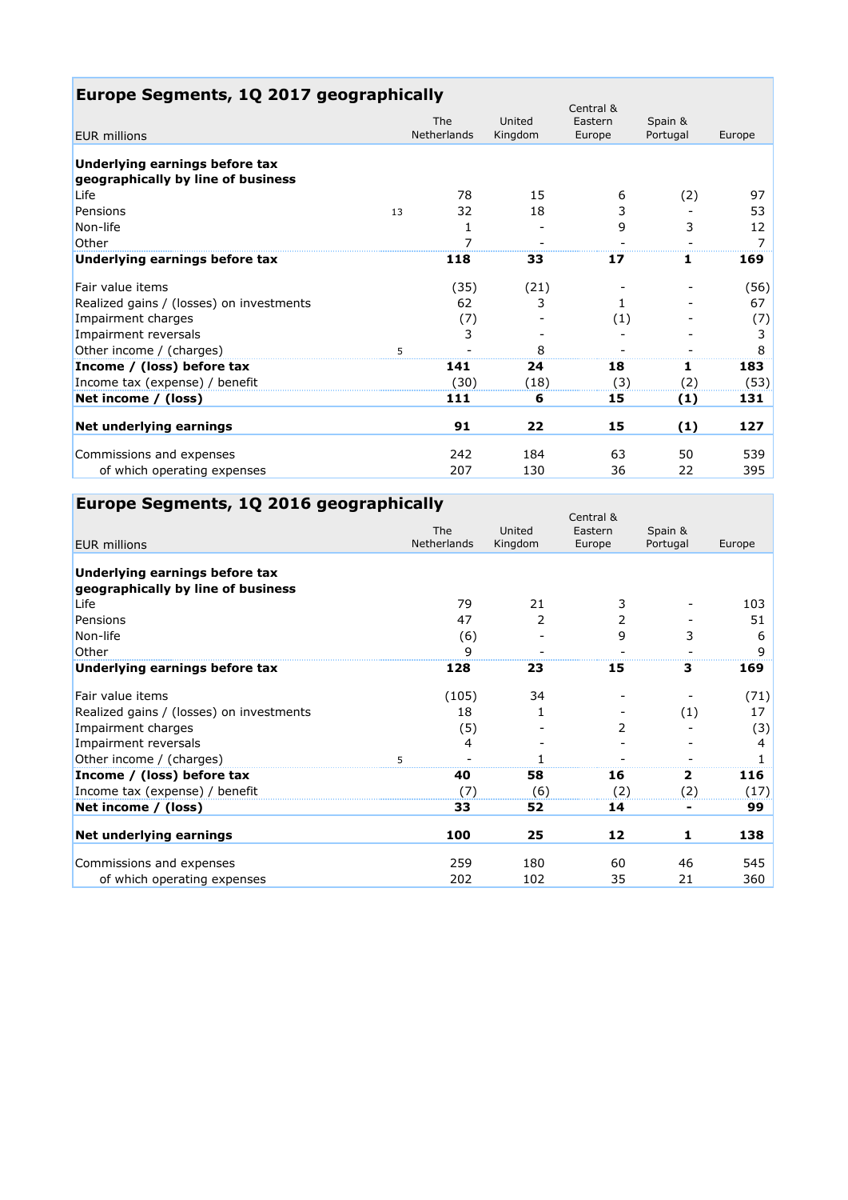| Europe Segments, 1Q 2017 geographically                              |                |         |                      |          |        |
|----------------------------------------------------------------------|----------------|---------|----------------------|----------|--------|
|                                                                      | The            | United  | Central &<br>Eastern | Spain &  |        |
| <b>EUR</b> millions                                                  | Netherlands    | Kingdom | Europe               | Portugal | Europe |
| Underlying earnings before tax<br>geographically by line of business |                |         |                      |          |        |
| Life                                                                 | 78             | 15      | 6                    | (2)      | 97     |
| Pensions<br>13                                                       | 32             | 18      | 3                    |          | 53     |
| Non-life                                                             | 1              |         | 9                    | 3        | 12     |
| Other                                                                | $\overline{7}$ |         |                      |          | 7      |
| Underlying earnings before tax                                       | 118            | 33      | 17                   | 1        | 169    |
| Fair value items                                                     | (35)           | (21)    |                      |          | (56)   |
| Realized gains / (losses) on investments                             | 62             | 3       | 1.                   |          | 67     |
| Impairment charges                                                   | (7)            |         | (1)                  |          | (7)    |
| Impairment reversals                                                 | 3              |         |                      |          | 3      |
| Other income / (charges)                                             | 5              | 8       |                      |          |        |
| Income / (loss) before tax                                           | 141            | 24      | 18                   | 1        | 183    |
| Income tax (expense) / benefit                                       | (30)           | (18)    | (3)                  | (2)      | (53)   |
| Net income / (loss)                                                  | 111            | 6       | 15                   | (1)      | 131    |
| Net underlying earnings                                              | 91             | 22      | 15                   | (1)      | 127    |
| Commissions and expenses                                             | 242            | 184     | 63                   | 50       | 539    |
| of which operating expenses                                          | 207            | 130     | 36                   | 22       | 395    |

| Europe Segments, 1Q 2016 geographically  |                           |                   |                   |                     |        |
|------------------------------------------|---------------------------|-------------------|-------------------|---------------------|--------|
|                                          |                           |                   | Central &         |                     |        |
| <b>EUR millions</b>                      | The<br><b>Netherlands</b> | United<br>Kingdom | Eastern<br>Europe | Spain &<br>Portugal | Europe |
|                                          |                           |                   |                   |                     |        |
| Underlying earnings before tax           |                           |                   |                   |                     |        |
| geographically by line of business       |                           |                   |                   |                     |        |
| Life                                     | 79                        | 21                | 3                 |                     | 103    |
| Pensions                                 | 47                        | 2                 | 2                 |                     | 51     |
| Non-life                                 | (6)                       |                   | 9                 | 3                   | 6      |
| Other                                    | 9                         |                   |                   |                     | 9      |
| Underlying earnings before tax           | 128                       | 23                | 15                | 3                   | 169    |
| Fair value items                         | (105)                     | 34                |                   |                     | (71)   |
| Realized gains / (losses) on investments | 18                        | 1                 |                   | (1)                 | 17     |
| Impairment charges                       | (5)                       |                   | 2                 |                     | (3)    |
| Impairment reversals                     | 4                         |                   |                   |                     | 4      |
| Other income / (charges)                 | 5                         |                   |                   |                     |        |
| Income / (loss) before tax               | 40                        | 58                | 16                | 2                   | 116    |
| Income tax (expense) / benefit           | (7                        | (6)               | (2)               | (2)                 | (17)   |
| Net income / (loss)                      | 33                        | 52                | 14                |                     | 99     |
| Net underlying earnings                  | 100                       | 25                | 12                | 1                   | 138    |
| Commissions and expenses                 | 259                       | 180               | 60                | 46                  | 545    |
| of which operating expenses              | 202                       | 102               | 35                | 21                  | 360    |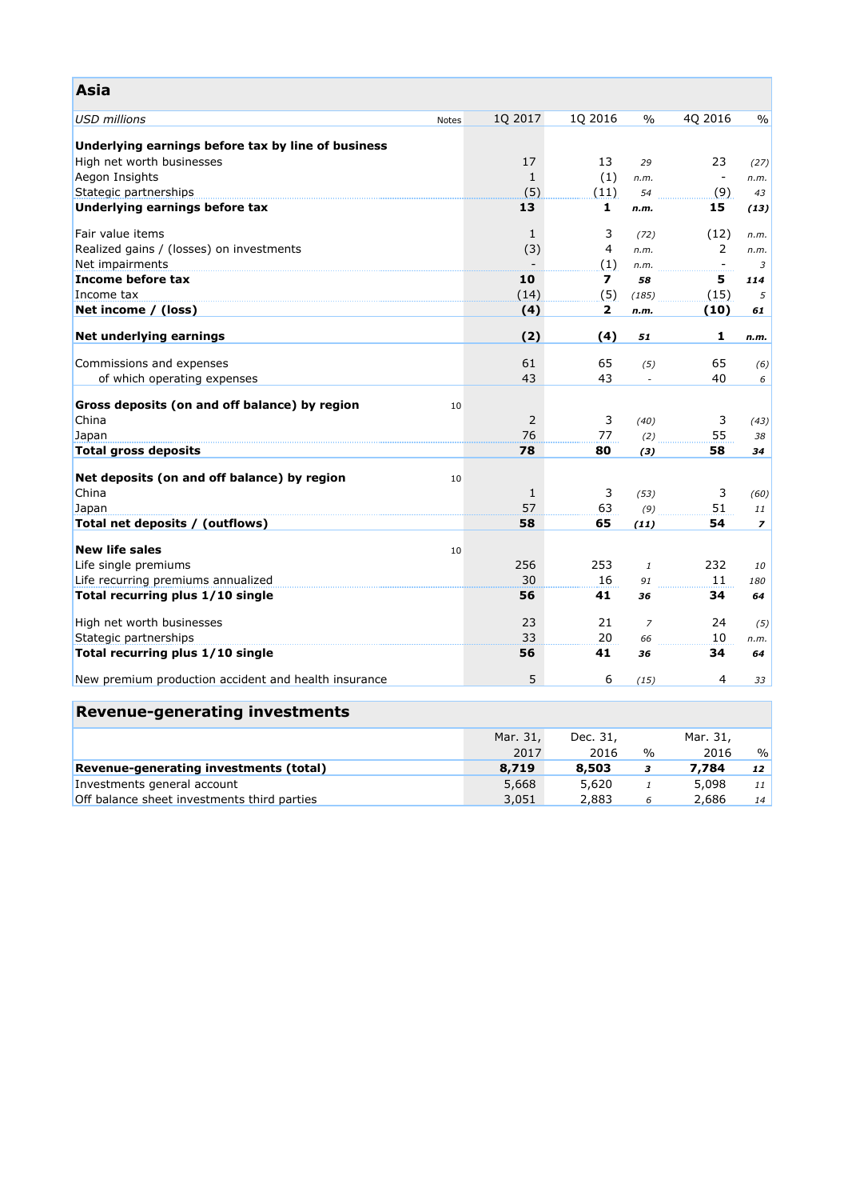| Asia                                                 |       |                    |                         |                |                                |                |
|------------------------------------------------------|-------|--------------------|-------------------------|----------------|--------------------------------|----------------|
| <b>USD millions</b>                                  | Notes | 1Q 2017            | 1Q 2016                 | $\%$           | 4Q 2016                        | $\%$           |
|                                                      |       |                    |                         |                |                                |                |
| Underlying earnings before tax by line of business   |       |                    |                         |                |                                |                |
| High net worth businesses<br>Aegon Insights          |       | 17<br>$\mathbf{1}$ | 13                      | 29             | 23<br>$\overline{\phantom{a}}$ | (27)           |
| Stategic partnerships                                |       | (5)                | (1)<br>(11)             | n.m.<br>54     | (9)                            | n.m.<br>43     |
| Underlying earnings before tax                       |       | 13                 | 1                       | n.m.           | 15                             | (13)           |
|                                                      |       |                    |                         |                |                                |                |
| Fair value items                                     |       | $\mathbf{1}$       | 3                       | (72)           | (12)                           | n.m.           |
| Realized gains / (losses) on investments             |       | (3)                | $\overline{4}$          | n.m.           | $\mathbf{2}^{\prime}$          | n.m.           |
| Net impairments                                      |       |                    | (1)                     | n.m.           | $\overline{\phantom{a}}$       | 3              |
| Income before tax                                    |       | 10                 | $\overline{\mathbf{z}}$ | 58             | 5                              | 114            |
| Income tax                                           |       | (14)               | (5)                     | (185)          | (15)                           | 5              |
| Net income / (loss)                                  |       | (4)                | $\mathbf{z}$            | n.m.           | (10)                           | 61             |
| Net underlying earnings                              |       | (2)                | (4)                     | 51             | 1                              | n.m.           |
|                                                      |       |                    |                         |                |                                |                |
| Commissions and expenses                             |       | 61                 | 65                      | (5)            | 65                             | (6)            |
| of which operating expenses                          |       | 43                 | 43                      | $\overline{a}$ | 40                             | 6              |
| Gross deposits (on and off balance) by region        | 10    |                    |                         |                |                                |                |
| China                                                |       | 2                  | 3                       | (40)           | 3                              | (43)           |
| Japan                                                |       | 76                 | 77                      | (2)            | 55                             | 38             |
| <b>Total gross deposits</b>                          |       | 78                 | 80                      | (3)            | 58                             | 34             |
| Net deposits (on and off balance) by region          | 10    |                    |                         |                |                                |                |
| China                                                |       | $\mathbf{1}$       | 3                       | (53)           | 3                              | (60)           |
| Japan                                                |       | 57                 | 63                      | (9)            | 51                             | 11             |
| Total net deposits / (outflows)                      |       | 58                 | 65                      | (11)           | 54                             | $\overline{z}$ |
|                                                      |       |                    |                         |                |                                |                |
| <b>New life sales</b>                                | 10    |                    |                         |                |                                |                |
| Life single premiums                                 |       | 256                | 253                     | $\mathbf{1}$   | 232                            | 10             |
| Life recurring premiums annualized                   |       | 30                 | 16                      | 91             | 11                             | 180            |
| Total recurring plus 1/10 single                     |       | 56                 | 41                      | 36             | 34                             | 64             |
| High net worth businesses                            |       | 23                 | 21                      | $\overline{z}$ | 24                             | (5)            |
| Stategic partnerships                                |       | 33                 | 20                      | 66             | 10                             | n.m.           |
| Total recurring plus 1/10 single                     |       | 56                 | 41                      | 36             | 34                             | 64             |
| New premium production accident and health insurance |       | 5                  | 6                       | (15)           | 4                              | 33             |
|                                                      |       |                    |                         |                |                                |                |
| <b>Revenue-generating investments</b>                |       |                    |                         |                |                                |                |
|                                                      |       | Mar. 31,           | Dec. 31,                |                | Mar. 31,                       |                |
|                                                      |       | 2017               | 2016                    | $\%$           | 2016                           | $\frac{0}{0}$  |
| Revenue-generating investments (total)               |       | 8,719              | 8,503                   | 3              | 7,784                          | 12             |
| Investments general account                          |       | 5,668              | 5,620                   | $\mathbf{1}$   | 5,098                          | 11             |
| Off balance sheet investments third parties          |       | 3,051              | 2,883                   | 6              | 2,686                          | 14             |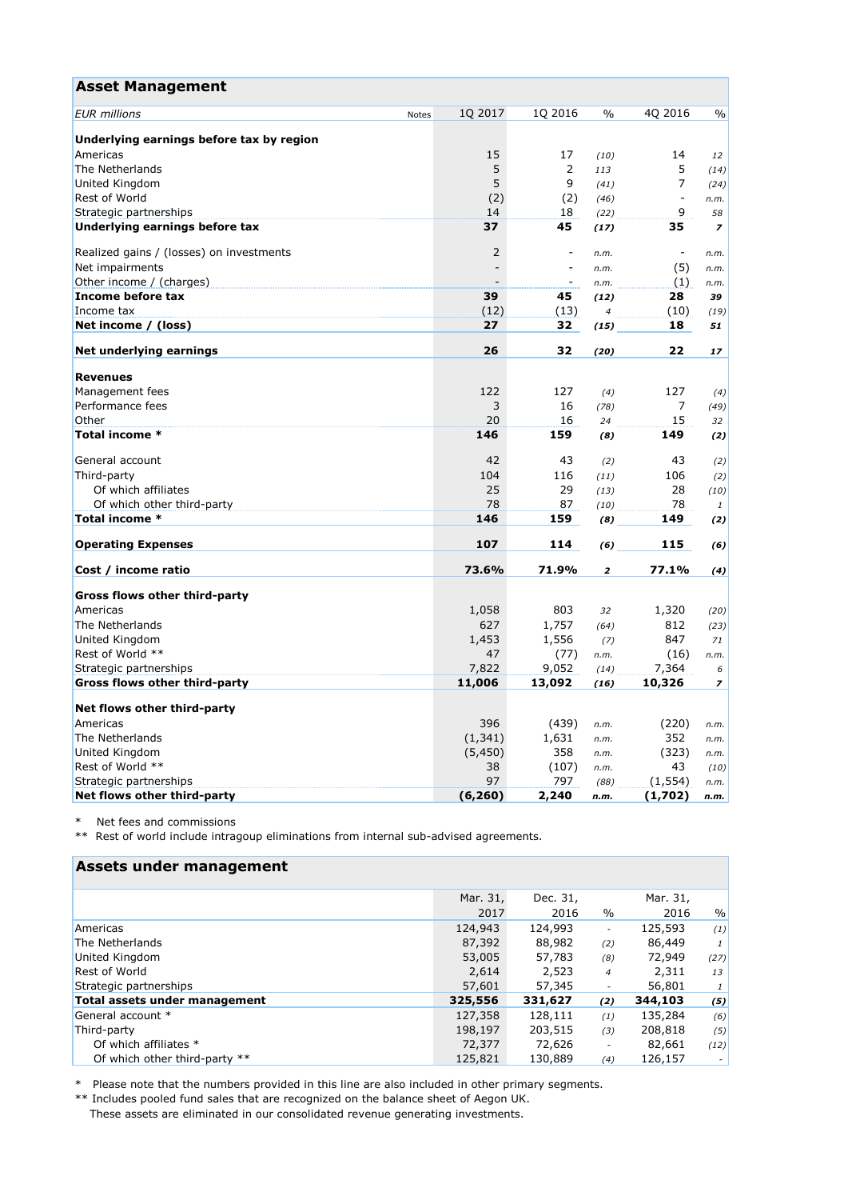| <b>Asset Management</b>                  |       |          |                          |                |                          |                |
|------------------------------------------|-------|----------|--------------------------|----------------|--------------------------|----------------|
| <b>EUR</b> millions                      | Notes | 1Q 2017  | 1Q 2016                  | $\frac{0}{0}$  | 4Q 2016                  | $\frac{0}{0}$  |
| Underlying earnings before tax by region |       |          |                          |                |                          |                |
| Americas                                 |       | 15       | 17                       | (10)           | 14                       | 12             |
| The Netherlands                          |       | 5        | $\overline{2}$           | 113            | 5                        | (14)           |
| United Kingdom                           |       | 5        | 9                        | (41)           | $\overline{7}$           | (24)           |
| Rest of World                            |       | (2)      | (2)                      | (46)           | $\overline{\phantom{a}}$ | n.m.           |
| Strategic partnerships                   |       | 14       | 18                       | (22)           | 9                        | 58             |
| Underlying earnings before tax           |       | 37       | 45                       | (17)           | 35                       | $\overline{z}$ |
|                                          |       |          |                          |                |                          |                |
| Realized gains / (losses) on investments |       | 2        | $\overline{\phantom{a}}$ | n.m.           | $\overline{\phantom{a}}$ | n.m.           |
| Net impairments                          |       |          | $\sim$                   | n.m.           | (5)                      | n.m.           |
| Other income / (charges)                 |       |          |                          | n.m.           | (1)                      | n.m.           |
| Income before tax                        |       | 39       | 45                       | (12)           | 28                       | 39             |
| Income tax                               |       | (12)     | (13)                     | $\overline{4}$ | (10)                     | (19)           |
| Net income / (loss)                      |       | 27       | 32                       | (15)           | 18                       | 51             |
| Net underlying earnings                  |       | 26       | 32                       | (20)           | 22                       | 17             |
| <b>Revenues</b>                          |       |          |                          |                |                          |                |
| Management fees                          |       | 122      | 127                      | (4)            | 127                      | (4)            |
| Performance fees                         |       | 3        | 16                       | (78)           | $\overline{7}$           | (49)           |
| Other                                    |       | 20       | 16                       | 24             | 15                       | 32             |
| Total income *                           |       | 146      | 159                      | (8)            | 149                      | (2)            |
| General account                          |       | 42       | 43                       | (2)            | 43                       | (2)            |
| Third-party                              |       | 104      | 116                      | (11)           | 106                      | (2)            |
| Of which affiliates                      |       | 25       | 29                       | (13)           | 28                       | (10)           |
| Of which other third-party               |       | 78       | 87                       | (10)           | 78                       | 1              |
| Total income *                           |       | 146      | 159                      | (8)            | 149                      | (2)            |
| <b>Operating Expenses</b>                |       | 107      | 114                      | (6)            | 115                      | (6)            |
|                                          |       |          |                          |                |                          |                |
| Cost / income ratio                      |       | 73.6%    | 71.9%                    | 2              | 77.1%                    | (4)            |
| Gross flows other third-party            |       |          |                          |                |                          |                |
| Americas                                 |       | 1,058    | 803                      | 32             | 1,320                    | (20)           |
| The Netherlands                          |       | 627      | 1,757                    | (64)           | 812                      | (23)           |
| United Kingdom                           |       | 1,453    | 1,556                    | (7)            | 847                      | 71             |
| Rest of World **                         |       | 47       | (77)                     | n.m.           | (16)                     | n.m.           |
| Strategic partnerships                   |       | 7,822    | 9,052                    | (14)           | 7,364                    | 6              |
| Gross flows other third-party            |       | 11,006   | 13,092                   | (16)           | 10,326                   | $\overline{z}$ |
|                                          |       |          |                          |                |                          |                |
| Net flows other third-party              |       |          |                          |                |                          |                |
| Americas                                 |       | 396      | (439)                    | n.m.           | (220)                    | n.m.           |
| The Netherlands                          |       | (1, 341) | 1,631                    | n.m.           | 352                      | n.m.           |
| United Kingdom                           |       | (5,450)  | 358                      | n.m.           | (323)                    | n.m.           |
| Rest of World **                         |       | 38       | (107)                    | n.m.           | 43                       | (10)           |
| Strategic partnerships                   |       | 97       | 797                      | (88)           | (1, 554)                 | n.m.           |
| Net flows other third-party              |       | (6, 260) | 2,240                    | n.m.           | (1,702)                  | n.m.           |

\* Net fees and commissions

\*\* Rest of world include intragoup eliminations from internal sub-advised agreements.

# **Assets under management**

|                               | Mar. 31, | Dec. 31, |                          | Mar. 31, |               |
|-------------------------------|----------|----------|--------------------------|----------|---------------|
|                               | 2017     | 2016     | $\%$                     | 2016     | $\frac{0}{0}$ |
| Americas                      | 124,943  | 124,993  | $\overline{\phantom{a}}$ | 125,593  | (1)           |
| The Netherlands               | 87,392   | 88,982   | (2)                      | 86,449   | 1             |
| United Kingdom                | 53,005   | 57,783   | (8)                      | 72,949   | (27)          |
| <b>Rest of World</b>          | 2,614    | 2,523    | $\overline{4}$           | 2,311    | 13            |
| Strategic partnerships        | 57,601   | 57,345   |                          | 56,801   | 1             |
| Total assets under management | 325,556  | 331,627  | (2)                      | 344,103  | (5)           |
| General account *             | 127,358  | 128,111  | (1)                      | 135,284  | (6)           |
| Third-party                   | 198,197  | 203,515  | (3)                      | 208,818  | (5)           |
| Of which affiliates *         | 72,377   | 72,626   |                          | 82,661   | (12)          |
| Of which other third-party ** | 125,821  | 130,889  | (4)                      | 126,157  | $\sim$        |

\* Please note that the numbers provided in this line are also included in other primary segments.

\*\* Includes pooled fund sales that are recognized on the balance sheet of Aegon UK. These assets are eliminated in our consolidated revenue generating investments.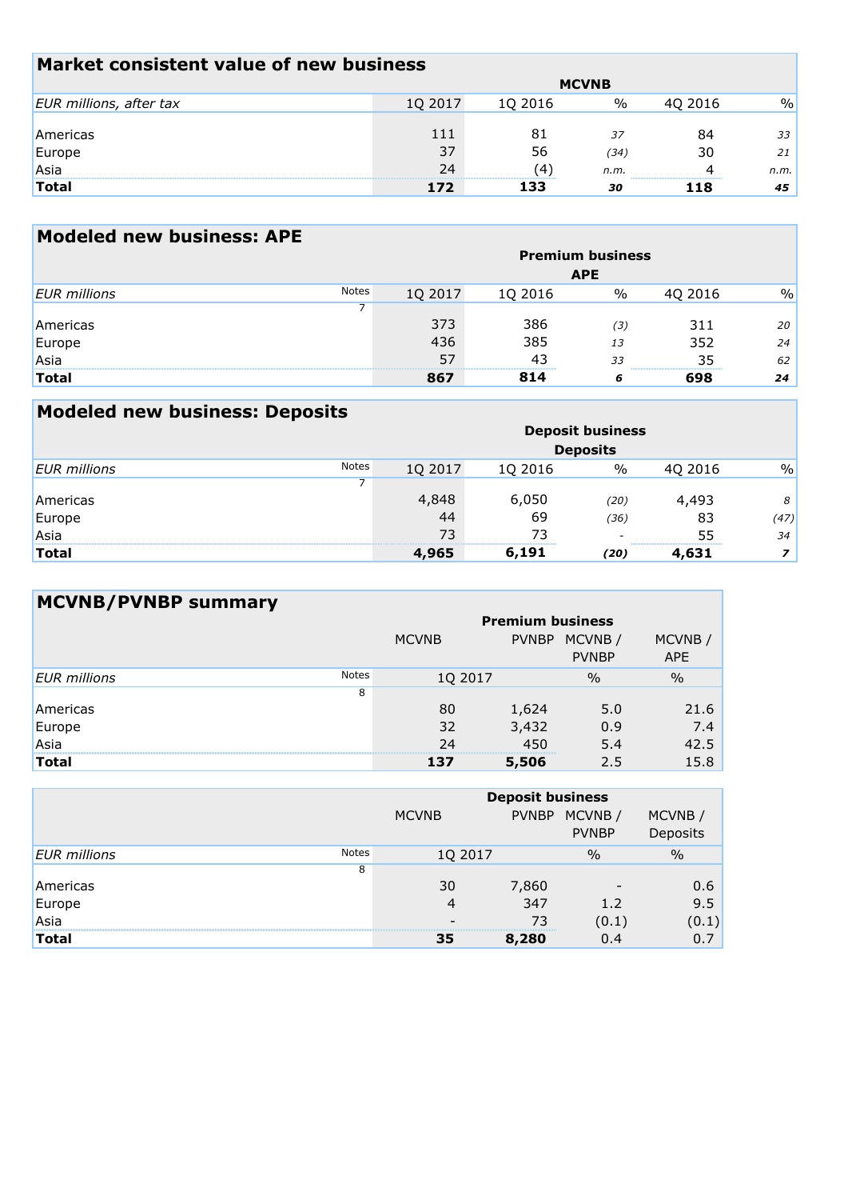| Market consistent value of new business |              |         |      |         |      |  |  |  |
|-----------------------------------------|--------------|---------|------|---------|------|--|--|--|
|                                         | <b>MCVNB</b> |         |      |         |      |  |  |  |
| EUR millions, after tax                 | 1Q 2017      | 1Q 2016 | %    | 40 2016 | $\%$ |  |  |  |
|                                         |              |         |      |         |      |  |  |  |
| Americas                                | 111          | 81      | 37   | 84      | 33   |  |  |  |
| Europe                                  | 37           | 56      | (34) | 30      | 21   |  |  |  |
| Asia                                    | 24           | (4)     | n.m. | 4       | n.m. |  |  |  |
| <b>Total</b>                            | 172          | 133     | 30   | 118     | 45   |  |  |  |

| <b>Modeled new business: APE</b> |              |         |         |                         |         |               |
|----------------------------------|--------------|---------|---------|-------------------------|---------|---------------|
|                                  |              |         |         | <b>Premium business</b> |         |               |
|                                  |              |         |         | <b>APE</b>              |         |               |
| <b>EUR</b> millions              | <b>Notes</b> | 1Q 2017 | 1Q 2016 | %                       | 4Q 2016 | $\frac{0}{0}$ |
|                                  |              |         |         |                         |         |               |
| Americas                         |              | 373     | 386     | (3)                     | 311     | 20            |
| Europe                           |              | 436     | 385     | 13                      | 352     | 24            |
| Asia                             |              | 57      | 43      | 33                      | 35      | 62            |
| <b>Total</b>                     |              | 867     | 814     | 6                       | 698     | 24            |

| <b>Modeled new business: Deposits</b> |              |         |         |                         |         |               |
|---------------------------------------|--------------|---------|---------|-------------------------|---------|---------------|
|                                       |              |         |         | <b>Deposit business</b> |         |               |
|                                       |              |         |         | <b>Deposits</b>         |         |               |
| <b>EUR</b> millions                   | <b>Notes</b> | 1Q 2017 | 1Q 2016 | $\%$                    | 4Q 2016 | $\frac{0}{0}$ |
|                                       |              |         |         |                         |         |               |
| Americas                              |              | 4,848   | 6,050   | (20)                    | 4,493   | 8             |
| Europe                                |              | 44      | 69      | (36)                    | 83      | (47)          |
| Asia                                  |              | 73      | 73      |                         | 55      | 34            |
| <b>Total</b>                          |              | 4,965   | 6,191   | (20)                    | 4,631   | $\mathbf{z}$  |

| <b>MCVNB/PVNBP summary</b> |              |                         |              |               |               |  |  |  |  |  |
|----------------------------|--------------|-------------------------|--------------|---------------|---------------|--|--|--|--|--|
|                            |              | <b>Premium business</b> |              |               |               |  |  |  |  |  |
|                            |              | <b>MCVNB</b>            | <b>PVNBP</b> | MCVNB/        | MCVNB/        |  |  |  |  |  |
|                            |              |                         |              | <b>PVNBP</b>  | <b>APE</b>    |  |  |  |  |  |
| <b>EUR</b> millions        | <b>Notes</b> | 1Q 2017                 |              | $\frac{0}{0}$ | $\frac{0}{0}$ |  |  |  |  |  |
|                            | 8            |                         |              |               |               |  |  |  |  |  |
| Americas                   |              | 80                      | 1,624        | 5.0           | 21.6          |  |  |  |  |  |
| Europe                     |              | 32                      | 3,432        | 0.9           | 7.4           |  |  |  |  |  |
| Asia                       |              | 24                      | 450          | 5.4           | 42.5          |  |  |  |  |  |
| <b>Total</b>               |              | 137                     | 5,506        | 2.5           | 15.8          |  |  |  |  |  |

|                     |              | <b>Deposit business</b> |       |                        |                    |  |  |  |
|---------------------|--------------|-------------------------|-------|------------------------|--------------------|--|--|--|
|                     | <b>MCVNB</b> |                         |       | MCVNB/<br><b>PVNBP</b> | MCVNB/<br>Deposits |  |  |  |
| <b>EUR</b> millions | Notes        | 1Q 2017                 |       | $\frac{0}{0}$          | $\frac{0}{0}$      |  |  |  |
|                     | 8            |                         |       |                        |                    |  |  |  |
| Americas            |              | 30                      | 7,860 |                        | 0.6                |  |  |  |
| Europe<br>Asia      |              | 4                       | 347   | 1.2                    | 9.5                |  |  |  |
|                     |              | -                       | 73    | (0.1)                  | (0.1)              |  |  |  |
| <b>Total</b>        |              | 35                      | 8,280 | 0.4                    | 0.7                |  |  |  |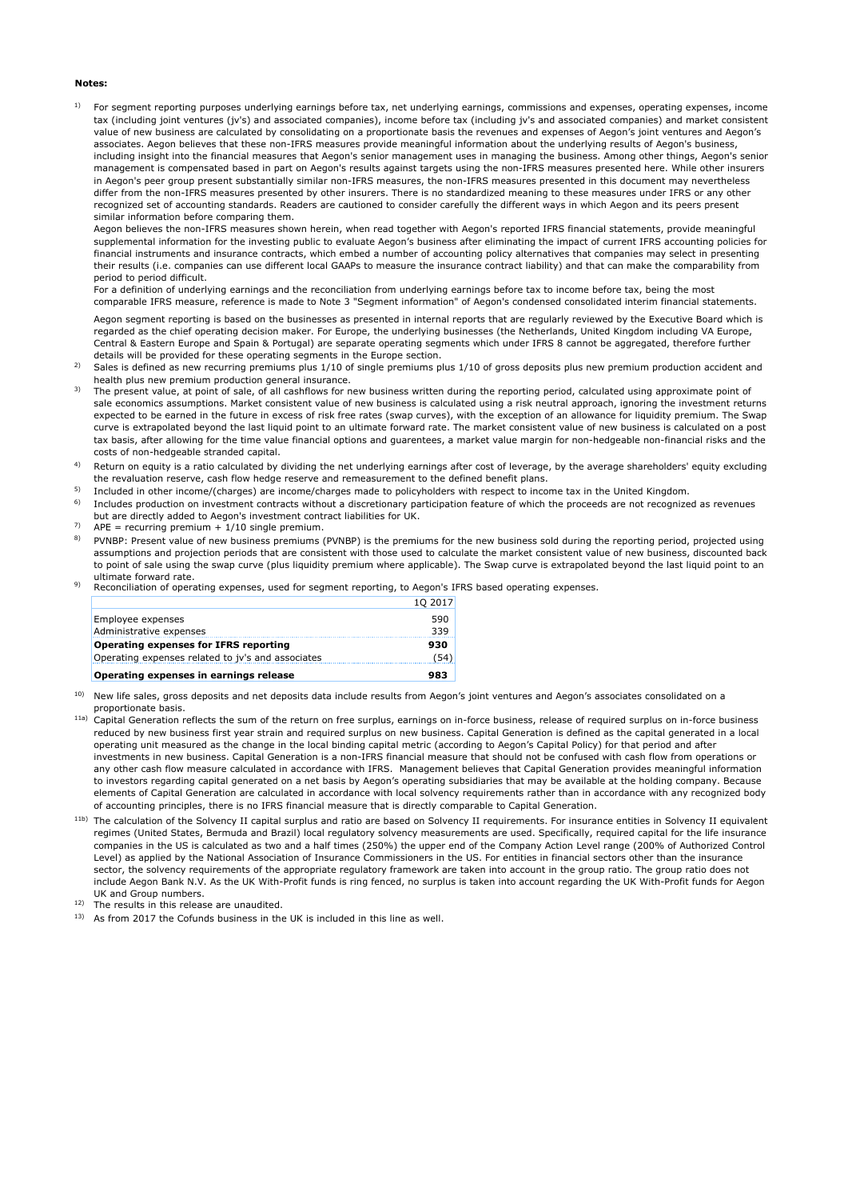### **Notes:**

1) For segment reporting purposes underlying earnings before tax, net underlying earnings, commissions and expenses, operating expenses, income tax (including joint ventures (jv's) and associated companies), income before tax (including jv's and associated companies) and market consistent value of new business are calculated by consolidating on a proportionate basis the revenues and expenses of Aegon's joint ventures and Aegon's associates. Aegon believes that these non-IFRS measures provide meaningful information about the underlying results of Aegon's business, including insight into the financial measures that Aegon's senior management uses in managing the business. Among other things, Aegon's senior management is compensated based in part on Aegon's results against targets using the non-IFRS measures presented here. While other insurers in Aegon's peer group present substantially similar non-IFRS measures, the non-IFRS measures presented in this document may nevertheless differ from the non-IFRS measures presented by other insurers. There is no standardized meaning to these measures under IFRS or any other recognized set of accounting standards. Readers are cautioned to consider carefully the different ways in which Aegon and its peers present similar information before comparing them.

Aegon believes the non-IFRS measures shown herein, when read together with Aegon's reported IFRS financial statements, provide meaningful supplemental information for the investing public to evaluate Aegon's business after eliminating the impact of current IFRS accounting policies for financial instruments and insurance contracts, which embed a number of accounting policy alternatives that companies may select in presenting their results (i.e. companies can use different local GAAPs to measure the insurance contract liability) and that can make the comparability from period to period difficult.

For a definition of underlying earnings and the reconciliation from underlying earnings before tax to income before tax, being the most comparable IFRS measure, reference is made to Note 3 "Segment information" of Aegon's condensed consolidated interim financial statements.

Aegon segment reporting is based on the businesses as presented in internal reports that are regularly reviewed by the Executive Board which is regarded as the chief operating decision maker. For Europe, the underlying businesses (the Netherlands, United Kingdom including VA Europe, Central & Eastern Europe and Spain & Portugal) are separate operating segments which under IFRS 8 cannot be aggregated, therefore further details will be provided for these operating segments in the Europe section.

- $2)$ Sales is defined as new recurring premiums plus 1/10 of single premiums plus 1/10 of gross deposits plus new premium production accident and health plus new premium production general insurance.
- 3) The present value, at point of sale, of all cashflows for new business written during the reporting period, calculated using approximate point of sale economics assumptions. Market consistent value of new business is calculated using a risk neutral approach, ignoring the investment returns expected to be earned in the future in excess of risk free rates (swap curves), with the exception of an allowance for liquidity premium. The Swap curve is extrapolated beyond the last liquid point to an ultimate forward rate. The market consistent value of new business is calculated on a post tax basis, after allowing for the time value financial options and guarentees, a market value margin for non-hedgeable non-financial risks and the costs of non-hedgeable stranded capital.
- 4) Return on equity is a ratio calculated by dividing the net underlying earnings after cost of leverage, by the average shareholders' equity excluding the revaluation reserve, cash flow hedge reserve and remeasurement to the defined benefit plans.
- 5) Included in other income/(charges) are income/charges made to policyholders with respect to income tax in the United Kingdom.
- 6) Includes production on investment contracts without a discretionary participation feature of which the proceeds are not recognized as revenues but are directly added to Aegon's investment contract liabilities for UK.
- 7)  $APE = recurring premium + 1/10 single premium.$
- 8) PVNBP: Present value of new business premiums (PVNBP) is the premiums for the new business sold during the reporting period, projected using assumptions and projection periods that are consistent with those used to calculate the market consistent value of new business, discounted back to point of sale using the swap curve (plus liquidity premium where applicable). The Swap curve is extrapolated beyond the last liquid point to an ultimate forward rate.
- 9) Reconciliation of operating expenses, used for segment reporting, to Aegon's IFRS based operating expenses.

| Operating expenses in earnings release            | 983     |
|---------------------------------------------------|---------|
| Operating expenses related to jv's and associates | (54)    |
| Operating expenses for IFRS reporting             | 930     |
| Administrative expenses                           | 339     |
| Employee expenses                                 | 590     |
|                                                   | 10 2017 |

10) New life sales, gross deposits and net deposits data include results from Aegon's joint ventures and Aegon's associates consolidated on a proportionate basis.

- 11a) Capital Generation reflects the sum of the return on free surplus, earnings on in-force business, release of required surplus on in-force business reduced by new business first year strain and required surplus on new business. Capital Generation is defined as the capital generated in a local operating unit measured as the change in the local binding capital metric (according to Aegon's Capital Policy) for that period and after investments in new business. Capital Generation is a non-IFRS financial measure that should not be confused with cash flow from operations or any other cash flow measure calculated in accordance with IFRS. Management believes that Capital Generation provides meaningful information to investors regarding capital generated on a net basis by Aegon's operating subsidiaries that may be available at the holding company. Because elements of Capital Generation are calculated in accordance with local solvency requirements rather than in accordance with any recognized body of accounting principles, there is no IFRS financial measure that is directly comparable to Capital Generation.
- 11b) The calculation of the Solvency II capital surplus and ratio are based on Solvency II requirements. For insurance entities in Solvency II equivalent regimes (United States, Bermuda and Brazil) local regulatory solvency measurements are used. Specifically, required capital for the life insurance companies in the US is calculated as two and a half times (250%) the upper end of the Company Action Level range (200% of Authorized Control Level) as applied by the National Association of Insurance Commissioners in the US. For entities in financial sectors other than the insurance sector, the solvency requirements of the appropriate regulatory framework are taken into account in the group ratio. The group ratio does not include Aegon Bank N.V. As the UK With-Profit funds is ring fenced, no surplus is taken into account regarding the UK With-Profit funds for Aegon UK and Group numbers. The results in this release are unaudited.
- 12)
- 13) As from 2017 the Cofunds business in the UK is included in this line as well.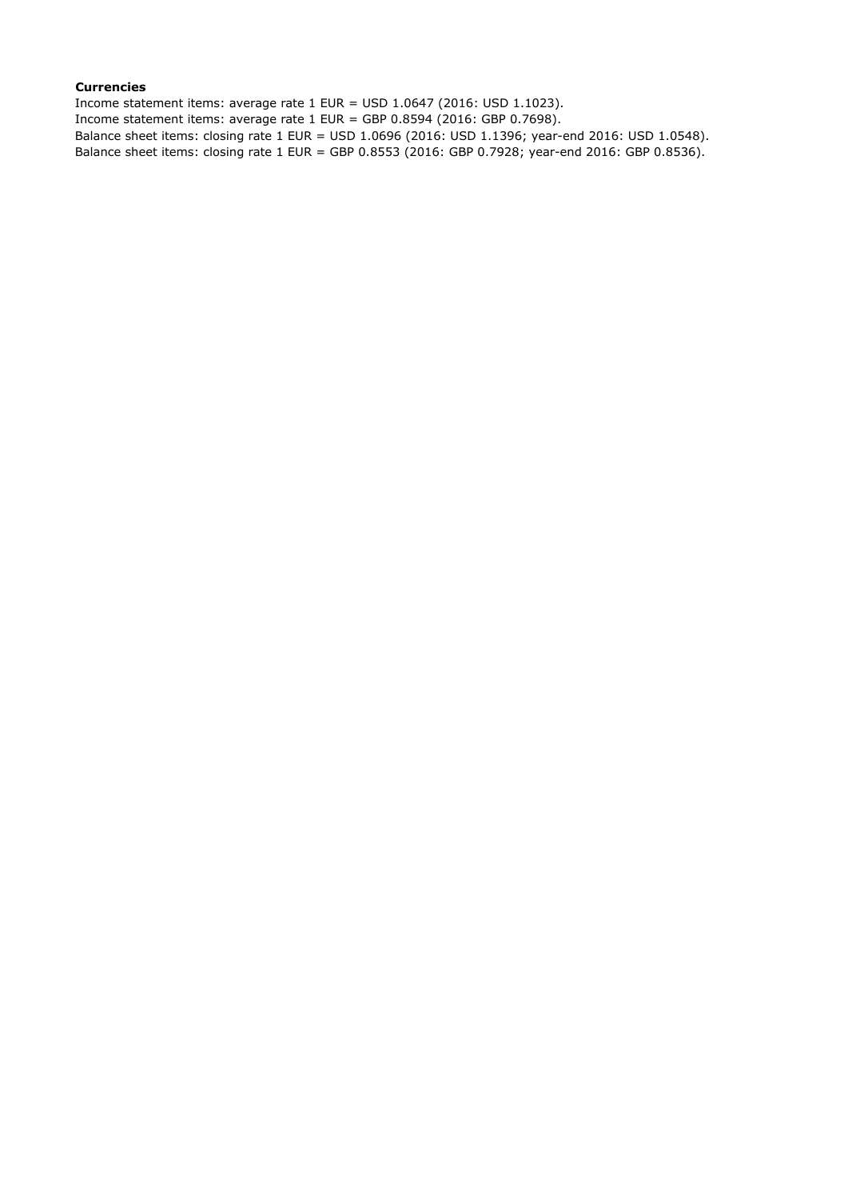## **Currencies**

Income statement items: average rate 1 EUR = USD 1.0647 (2016: USD 1.1023). Income statement items: average rate 1 EUR = GBP 0.8594 (2016: GBP 0.7698). Balance sheet items: closing rate 1 EUR = USD 1.0696 (2016: USD 1.1396; year-end 2016: USD 1.0548). Balance sheet items: closing rate 1 EUR = GBP 0.8553 (2016: GBP 0.7928; year-end 2016: GBP 0.8536).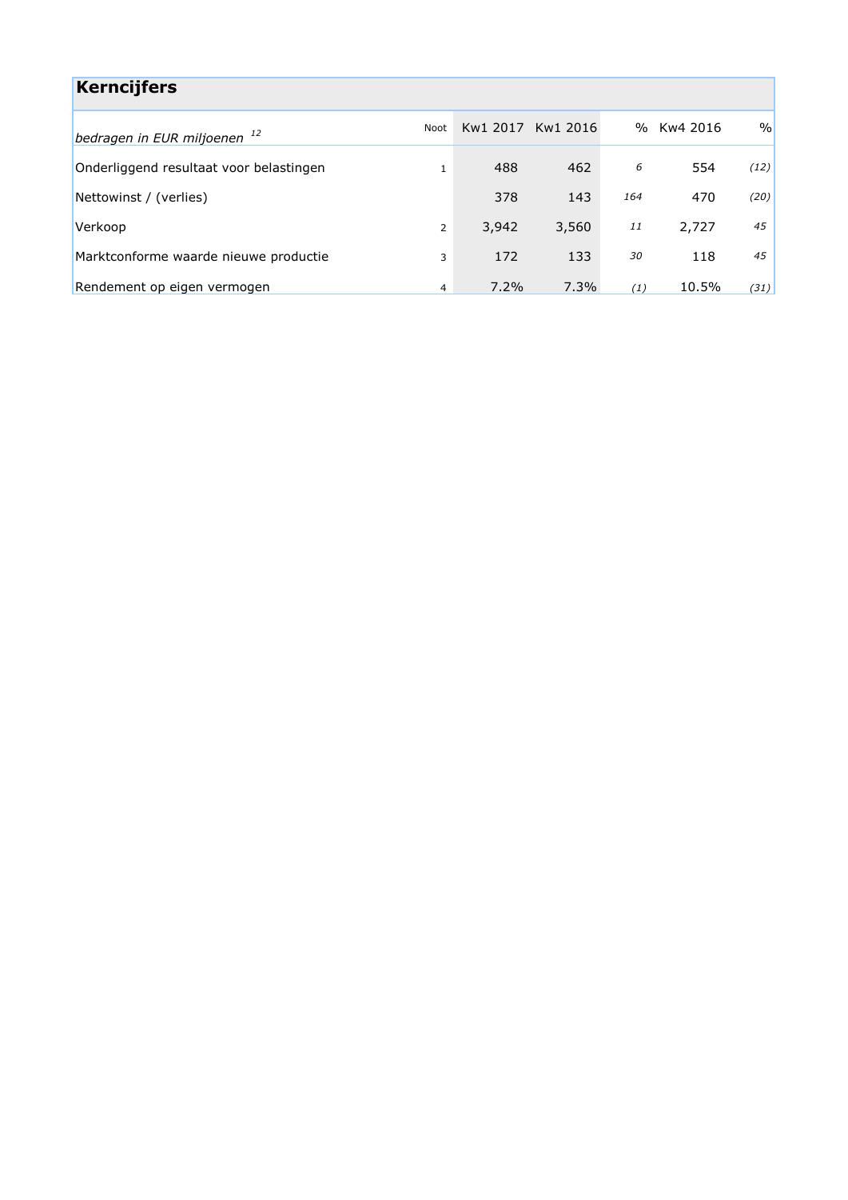| <b>Kerncijfers</b>                      |                |          |          |     |          |               |
|-----------------------------------------|----------------|----------|----------|-----|----------|---------------|
| bedragen in EUR miljoenen <sup>12</sup> | Noot           | Kw1 2017 | Kw1 2016 | %   | Kw4 2016 | $\frac{0}{0}$ |
| Onderliggend resultaat voor belastingen | $\mathbf{1}$   | 488      | 462      | 6   | 554      | (12)          |
| Nettowinst / (verlies)                  |                | 378      | 143      | 164 | 470      | (20)          |
| Verkoop                                 | $\overline{2}$ | 3,942    | 3,560    | 11  | 2,727    | 45            |
| Marktconforme waarde nieuwe productie   | 3              | 172      | 133      | 30  | 118      | 45            |
| Rendement op eigen vermogen             | 4              | 7.2%     | 7.3%     | (1) | 10.5%    | (31)          |